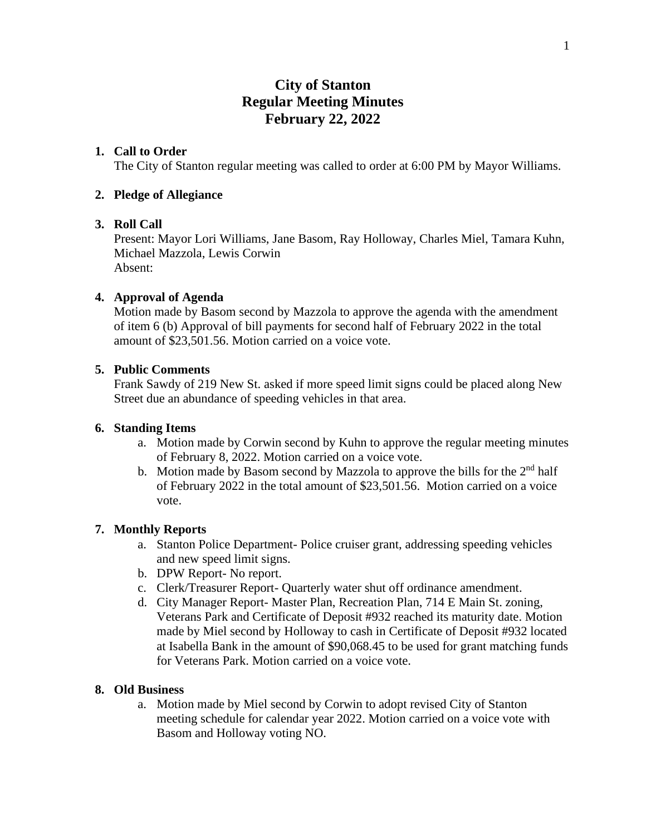# **City of Stanton Regular Meeting Minutes February 22, 2022**

# **1. Call to Order**

The City of Stanton regular meeting was called to order at 6:00 PM by Mayor Williams.

# **2. Pledge of Allegiance**

# **3. Roll Call**

Present: Mayor Lori Williams, Jane Basom, Ray Holloway, Charles Miel, Tamara Kuhn, Michael Mazzola, Lewis Corwin Absent:

# **4. Approval of Agenda**

Motion made by Basom second by Mazzola to approve the agenda with the amendment of item 6 (b) Approval of bill payments for second half of February 2022 in the total amount of \$23,501.56. Motion carried on a voice vote.

### **5. Public Comments**

Frank Sawdy of 219 New St. asked if more speed limit signs could be placed along New Street due an abundance of speeding vehicles in that area.

### **6. Standing Items**

- a. Motion made by Corwin second by Kuhn to approve the regular meeting minutes of February 8, 2022. Motion carried on a voice vote.
- b. Motion made by Basom second by Mazzola to approve the bills for the  $2<sup>nd</sup>$  half of February 2022 in the total amount of \$23,501.56. Motion carried on a voice vote.

# **7. Monthly Reports**

- a. Stanton Police Department- Police cruiser grant, addressing speeding vehicles and new speed limit signs.
- b. DPW Report- No report.
- c. Clerk/Treasurer Report- Quarterly water shut off ordinance amendment.
- d. City Manager Report- Master Plan, Recreation Plan, 714 E Main St. zoning, Veterans Park and Certificate of Deposit #932 reached its maturity date. Motion made by Miel second by Holloway to cash in Certificate of Deposit #932 located at Isabella Bank in the amount of \$90,068.45 to be used for grant matching funds for Veterans Park. Motion carried on a voice vote.

### **8. Old Business**

a. Motion made by Miel second by Corwin to adopt revised City of Stanton meeting schedule for calendar year 2022. Motion carried on a voice vote with Basom and Holloway voting NO.